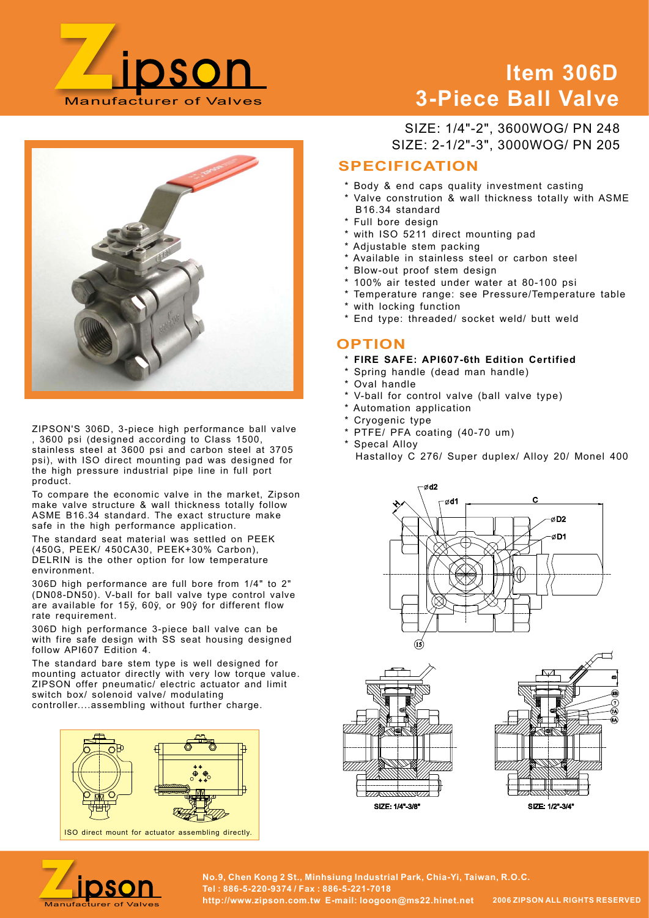

# Item 306D 3-Piece Ball Valve



ZIPSON'S 306D, 3-piece high performance ball valve , 3600 psi (designed according to Class 1500, stainless steel at 3600 psi and carbon steel at 3705 psi), with ISO direct mounting pad was designed for the high pressure industrial pipe line in full port product.

To compare the economic valve in the market, Zipson make valve structure & wall thickness totally follow ASME B16.34 standard. The exact structure make safe in the high performance application.

The standard seat material was settled on PEEK (450G, PEEK/ 450CA30, PEEK+30% Carbon), DELRIN is the other option for low temperature environment.

306D high performance are full bore from 1/4" to 2" (DN08-DN50). V-ball for ball valve type control valve are available for 15ў, 60ў, or 90ў for different flow rate requirement.

306D high performance 3-piece ball valve can be with fire safe design with SS seat housing designed follow API607 Edition 4.

The standard bare stem type is well designed for mounting actuator directly with very low torque value. ZIPSON offer pneumatic/ electric actuator and limit switch box/ solenoid valve/ modulating controller....assembling without further charge.



SIZE: 2-1/2"-3", 3000WOG/ PN 205 SIZE: 1/4"-2", 3600WOG/ PN 248

# SPECIFICATION

- \* Body & end caps quality investment casting
- Valve constrution & wall thickness totally with ASME B16.34 standard
- Full bore design
- \* with ISO 5211 direct mounting pad
- \* Adjustable stem packing
- \* Available in stainless steel or carbon steel
- \* Blow-out proof stem design
- 100% air tested under water at 80-100 psi
- Temperature range: see Pressure/Temperature table
- with locking function
- \* End type: threaded/ socket weld/ butt weld

## **OPTION**

- \* FIRE SAFE: API607-6th Edition Certified
- \* Spring handle (dead man handle)
- \* Oval handle
- \* V-ball for control valve (ball valve type)
- \* Automation application
- \* Cryogenic type
- \* PTFE/ PFA coating (40-70 um)
- \* Specal Alloy Hastalloy C 276/ Super duplex/ Alloy 20/ Monel 400









No.9, Chen Kong 2 St., Minhsiung Industrial Park, Chia-Yi, Taiwan, R.O.C.<br>Manufacturer of Valves http://www.zipson.com.tw E-mail: loogoon@ms22.hinet.net 2006 ZIPSON ALL RIGHTS RESERVED Tel : 886-5-220-9374 / Fax : 886-5-221-7018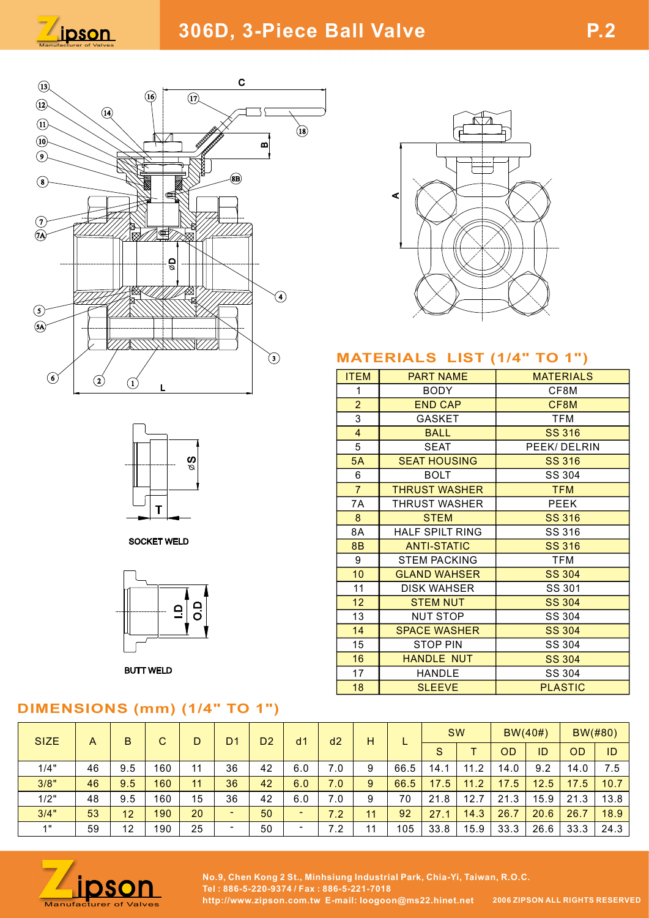





**SOCKET WELD** 



**BUTT WELD** 

# DIMENSIONS (mm) (1/4" TO 1")



# MATERIALS LIST (1/4" TO 1")

|                                         |                                                                      | <b>MATERIALS LIST (1/4" TO 1")</b>        |                     |      |               |                          |                  |         |  |  |
|-----------------------------------------|----------------------------------------------------------------------|-------------------------------------------|---------------------|------|---------------|--------------------------|------------------|---------|--|--|
|                                         |                                                                      |                                           |                     |      |               |                          |                  |         |  |  |
|                                         | <b>ITEM</b>                                                          |                                           | <b>PART NAME</b>    |      |               |                          | <b>MATERIALS</b> |         |  |  |
|                                         | $\mathbf 1$                                                          |                                           | <b>BODY</b>         |      |               |                          | CF8M             |         |  |  |
|                                         | $\overline{2}$<br><b>END CAP</b>                                     |                                           |                     |      |               |                          | CF8M             |         |  |  |
|                                         | 3<br><b>GASKET</b>                                                   |                                           |                     |      |               | <b>TFM</b>               |                  |         |  |  |
|                                         | $\overline{4}$                                                       | <b>BALL</b>                               |                     |      |               | <b>SS 316</b>            |                  |         |  |  |
| 5<br><b>SEAT</b><br><b>SEAT HOUSING</b> |                                                                      |                                           |                     |      |               | PEEK/DELRIN              |                  |         |  |  |
|                                         | 5A                                                                   |                                           |                     |      |               | <b>SS 316</b><br>SS 304  |                  |         |  |  |
|                                         | 6<br><b>BOLT</b>                                                     |                                           |                     |      |               | <b>TFM</b>               |                  |         |  |  |
|                                         | $\overline{7}$<br><b>THRUST WASHER</b><br>7A<br><b>THRUST WASHER</b> |                                           |                     |      | <b>PEEK</b>   |                          |                  |         |  |  |
|                                         | $\mathbf{8}$                                                         |                                           | <b>SS 316</b>       |      |               |                          |                  |         |  |  |
|                                         | 8A                                                                   | <b>STEM</b><br><b>HALF SPILT RING</b>     |                     |      |               | SS 316                   |                  |         |  |  |
|                                         | 8B                                                                   |                                           |                     |      |               | <b>SS 316</b>            |                  |         |  |  |
|                                         | $\boldsymbol{9}$                                                     | <b>ANTI-STATIC</b><br><b>STEM PACKING</b> |                     |      |               | <b>TFM</b>               |                  |         |  |  |
|                                         |                                                                      |                                           | <b>SS 304</b>       |      |               |                          |                  |         |  |  |
|                                         | 10                                                                   | <b>GLAND WAHSER</b><br><b>DISK WAHSER</b> |                     |      |               | SS 301                   |                  |         |  |  |
|                                         | 11                                                                   |                                           |                     |      |               |                          |                  |         |  |  |
|                                         | 12                                                                   |                                           | <b>STEM NUT</b>     |      |               | <b>SS 304</b>            |                  |         |  |  |
|                                         | 13                                                                   |                                           | <b>NUT STOP</b>     |      |               |                          | SS 304           |         |  |  |
|                                         | 14                                                                   |                                           | <b>SPACE WASHER</b> |      | <b>SS 304</b> |                          |                  |         |  |  |
|                                         | 15                                                                   |                                           | <b>STOP PIN</b>     |      |               | SS 304<br><b>SS 304</b>  |                  |         |  |  |
|                                         | 16<br>17                                                             |                                           | <b>HANDLE NUT</b>   |      |               |                          |                  |         |  |  |
|                                         | 18                                                                   | <b>HANDLE</b><br><b>SLEEVE</b>            |                     |      |               | SS 304<br><b>PLASTIC</b> |                  |         |  |  |
|                                         |                                                                      |                                           |                     |      |               |                          |                  |         |  |  |
|                                         |                                                                      |                                           |                     |      |               |                          |                  |         |  |  |
|                                         |                                                                      |                                           |                     | SW   |               | $BW(40\#)$               |                  | BW(#80) |  |  |
| d2                                      | H                                                                    | L                                         | S                   | T    | OD            | ID                       | OD               | ID      |  |  |
|                                         |                                                                      |                                           |                     |      |               |                          |                  |         |  |  |
| 0.7                                     | 9                                                                    | 66.5                                      | 14.1                | 11.2 | 14.0          | 9.2                      | 14.0             | 7.5     |  |  |
| 0.7                                     | $9\,$                                                                | 66.5                                      | 17.5                | 11.2 | 17.5          | 12.5                     | 17.5             | 10.7    |  |  |
| 0.7                                     | 9                                                                    | 70                                        | 21.8                | 12.7 | 21.3          | 15.9                     | 21.3             | 13.8    |  |  |
| 7.2                                     | 11<br>92<br>27.1<br>14.3<br>26.7<br>26.7<br>20.6                     |                                           |                     | 18.9 |               |                          |                  |         |  |  |

| <b>SIZE</b>    | A  | B   | ⌒<br>U |    | D <sub>1</sub>           | D <sub>2</sub> | d <sub>1</sub>           | d2                  | H              |      |      | <b>SW</b> |      | $BW(40\#)$ |           | $BW(\#80)$ |  |
|----------------|----|-----|--------|----|--------------------------|----------------|--------------------------|---------------------|----------------|------|------|-----------|------|------------|-----------|------------|--|
|                |    |     |        |    |                          |                |                          |                     |                |      | S    |           | OD   | ID         | <b>OD</b> | ID         |  |
| 1/4"           | 46 | 9.5 | 160    | 11 | 36                       | 42             | 6.0                      | $\cdot$ .0          | 9              | 66.5 | 14.1 | 11.2      | 14.0 | 9.2        | 14.0      | 7.5        |  |
| 3/8"           | 46 | 9.5 | 160    | 11 | 36                       | 42             | 6.0                      | 7.0                 | 9              | 66.5 | 17.5 | 11.2      | 17.5 | 12.5       | 17.5      | 10.7       |  |
| 1/2"           | 48 | 9.5 | 160    | 15 | 36                       | 42             | 6.0                      | $^{\prime}$ .0      | 9              | 70   | 21.8 | 12.7      | 21.3 | 15.9       | 21.3      | 13.8       |  |
| 3/4"           | 53 | 12  | 190    | 20 | $\sim$                   | 50             | $\overline{\phantom{0}}$ | -<br>$^{\prime}$ .2 | 44             | 92   | 27.1 | 14.3      | 26.7 | 20.6       | 26.7      | 18.9       |  |
| $\overline{4}$ | 59 | 12  | 190    | 25 | $\overline{\phantom{a}}$ | 50             |                          | $\cdot$             | $\overline{1}$ | 105  | 33.8 | 15.9      | 33.3 | 26.6       | 33.3      | 24.3       |  |



No.9, Chen Kong 2 St., Minhsiung Industrial Park, Chia-Yi, Taiwan, R.O.C.<br>Manufacturer of Valves http://www.zipson.com.tw E-mail: loogoon@ms22.hinet.net 2006 ZIPSON ALL RIGHTS RESERVED Tel : 886-5-220-9374 / Fax : 886-5-221-7018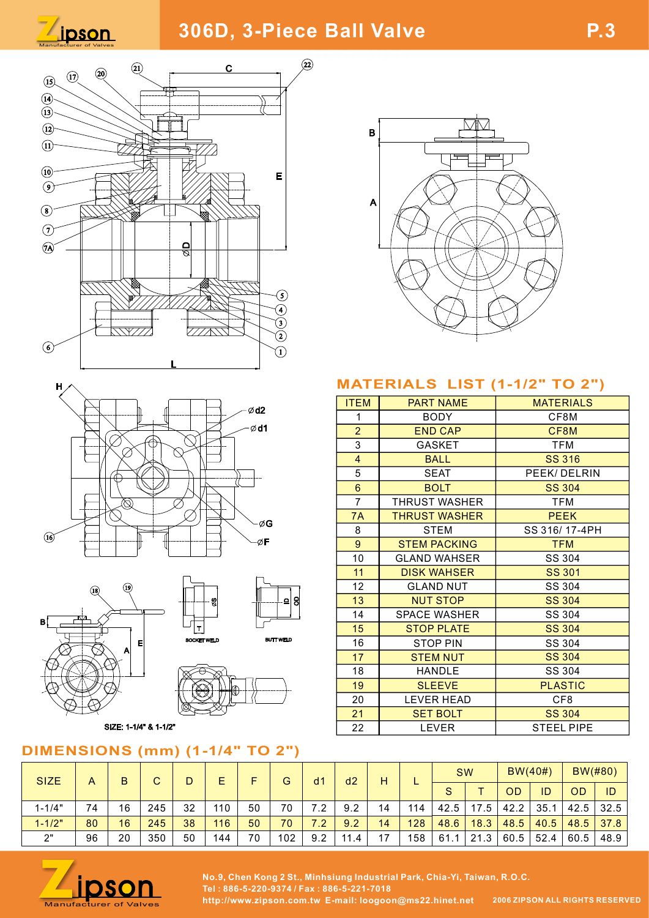















No.9, Chen Kong 2 St., Minhsiung Industrial Park, Chia-Yi, Taiwan, R.O.C.<br>Manufacturer of Valves http://www.zipson.com.tw E-mail: loogoon@ms22.hinet.net 2006 ZIPSON ALL RIGHTS RESERVED Tel : 886-5-220-9374 / Fax : 886-5-221-7018



## MATERIALS LIST (1-1/2" TO 2")

| $\Box$<br>ছা<br>⊙<br>$\bigcirc$<br>$\bar{\circled{\scriptstyle 3}}$<br>\\\\\///<br>777NSS<br>$\bar{\mathcal{Q}}$<br>$\overline{\mathbb{O}}$ |                                                                           |                                 |             |     |                |                  |             |                     |                     |                                 |                   |               |                         |                   |                |             |  |
|---------------------------------------------------------------------------------------------------------------------------------------------|---------------------------------------------------------------------------|---------------------------------|-------------|-----|----------------|------------------|-------------|---------------------|---------------------|---------------------------------|-------------------|---------------|-------------------------|-------------------|----------------|-------------|--|
|                                                                                                                                             | <b>MATERIALS LIST (1-1/2" TO 2")</b>                                      |                                 |             |     |                |                  |             |                     |                     |                                 |                   |               |                         |                   |                |             |  |
|                                                                                                                                             |                                                                           |                                 |             |     |                |                  |             | <b>ITEM</b>         |                     |                                 |                   |               | <b>MATERIALS</b>        |                   |                |             |  |
|                                                                                                                                             |                                                                           |                                 |             |     | $\emptyset$ d2 |                  |             | $\mathbf{1}$        |                     | <b>PART NAME</b><br><b>BODY</b> |                   |               | CF8M                    |                   |                |             |  |
|                                                                                                                                             |                                                                           |                                 |             |     | $\emptyset$ d1 |                  |             | 2 <sup>1</sup>      |                     | <b>END CAP</b>                  |                   |               | CF8M                    |                   |                |             |  |
|                                                                                                                                             |                                                                           |                                 |             |     |                |                  |             | $\mathbf{3}$        |                     | <b>GASKET</b>                   |                   |               | <b>TFM</b>              |                   |                |             |  |
|                                                                                                                                             |                                                                           |                                 |             |     |                |                  |             | $\overline{4}$      | <b>BALL</b>         |                                 |                   | <b>SS 316</b> |                         |                   |                |             |  |
|                                                                                                                                             |                                                                           |                                 |             |     |                |                  |             | $\,$ 5 $\,$         | <b>SEAT</b>         |                                 |                   |               | PEEK/DELRIN             |                   |                |             |  |
|                                                                                                                                             |                                                                           |                                 |             |     |                |                  |             | $\boldsymbol{6}$    |                     | <b>BOLT</b>                     |                   |               | <b>SS 304</b>           |                   |                |             |  |
|                                                                                                                                             |                                                                           |                                 |             |     |                |                  |             | $\overline{7}$      |                     | THRUST WASHER                   |                   |               | <b>TFM</b>              |                   |                |             |  |
|                                                                                                                                             |                                                                           |                                 |             |     |                |                  |             | 7A                  |                     | <b>THRUST WASHER</b>            |                   |               | <b>PEEK</b>             |                   |                |             |  |
| -øG                                                                                                                                         |                                                                           |                                 |             |     | 8              |                  | <b>STEM</b> |                     |                     |                                 | SS 316/17-4PH     |               |                         |                   |                |             |  |
| øF                                                                                                                                          |                                                                           |                                 |             |     |                | $9\,$            |             | <b>STEM PACKING</b> |                     |                                 |                   | <b>TFM</b>    |                         |                   |                |             |  |
|                                                                                                                                             |                                                                           |                                 |             |     |                |                  | 10          |                     | <b>GLAND WAHSER</b> |                                 |                   | SS 304        |                         |                   |                |             |  |
|                                                                                                                                             |                                                                           |                                 |             |     |                | 11               |             | <b>DISK WAHSER</b>  |                     |                                 | <b>SS 301</b>     |               |                         |                   |                |             |  |
| (19)<br>$\circledR$                                                                                                                         |                                                                           |                                 |             |     | 12             |                  |             | <b>GLAND NUT</b>    |                     | SS 304                          |                   |               |                         |                   |                |             |  |
|                                                                                                                                             |                                                                           |                                 |             |     |                | 의 위              |             | 13                  |                     |                                 | <b>NUT STOP</b>   |               |                         |                   | <b>SS 304</b>  |             |  |
|                                                                                                                                             |                                                                           |                                 |             |     |                |                  |             | 14                  |                     |                                 | SPACE WASHER      |               |                         |                   | SS 304         |             |  |
|                                                                                                                                             |                                                                           |                                 |             |     |                |                  |             | 15                  |                     |                                 | <b>STOP PLATE</b> |               | <b>SS 304</b><br>SS 304 |                   |                |             |  |
|                                                                                                                                             |                                                                           | 티                               | SOCKET WELD |     |                | <b>BUTT WELD</b> |             | 16                  |                     |                                 | <b>STOP PIN</b>   |               |                         |                   |                |             |  |
|                                                                                                                                             |                                                                           |                                 |             |     |                |                  |             | 17                  |                     |                                 | <b>STEM NUT</b>   |               | <b>SS 304</b>           |                   |                |             |  |
|                                                                                                                                             |                                                                           |                                 |             |     |                |                  |             | 18                  |                     |                                 | HANDLE            |               | SS 304                  |                   |                |             |  |
|                                                                                                                                             |                                                                           |                                 |             |     |                |                  |             | 19                  |                     |                                 | <b>SLEEVE</b>     |               |                         |                   | <b>PLASTIC</b> |             |  |
|                                                                                                                                             |                                                                           |                                 |             |     |                |                  |             | 20                  |                     |                                 | LEVER HEAD        |               | CF8                     |                   |                |             |  |
|                                                                                                                                             |                                                                           |                                 |             |     |                |                  |             | 21                  |                     |                                 | <b>SET BOLT</b>   |               | <b>SS 304</b>           |                   |                |             |  |
|                                                                                                                                             |                                                                           | SIZE: 1-1/4" & 1-1/2"           |             |     |                |                  |             | 22                  |                     |                                 | LEVER             |               |                         | <b>STEEL PIPE</b> |                |             |  |
|                                                                                                                                             |                                                                           | <b>IONS (mm) (1-1/4" TO 2")</b> |             |     |                |                  |             |                     |                     |                                 |                   |               |                         |                   |                |             |  |
|                                                                                                                                             |                                                                           |                                 |             |     |                |                  |             |                     |                     |                                 |                   | SW            |                         | $BW(40\#)$        |                | BW(#80)     |  |
| A                                                                                                                                           | B                                                                         | $\mathbf C$                     | D           | E   | F              | $\mathsf G$      | d1          | d2                  | H                   | L                               | S                 | $\mathsf{T}$  | <b>OD</b>               | ID                | OD             | ID          |  |
| 74                                                                                                                                          | 16                                                                        | 245                             | 32          | 110 | 50             | 70               | 7.2         | 9.2                 | 14                  | 114                             | 42.5              | 17.5          | 42.2                    | 35.1              |                | $42.5$ 32.5 |  |
| 80                                                                                                                                          | 16                                                                        | 245                             | 38          | 116 | 50             | 70               | 7.2         | 9.2                 | 14                  | 128                             | 48.6              | 18.3          | 48.5                    | 40.5              | 48.5           | 37.8        |  |
| 96                                                                                                                                          | 20                                                                        | 350                             | 50          | 144 | 70             | 102              | 9.2         | 11.4                | 17                  | 158                             |                   | $61.1$ 21.3   |                         | $60.5$ 52.4       |                | $60.5$ 48.9 |  |
|                                                                                                                                             |                                                                           |                                 |             |     |                |                  |             |                     |                     |                                 |                   |               |                         |                   |                |             |  |
|                                                                                                                                             | No.9, Chen Kong 2 St., Minhsiung Industrial Park, Chia-Yi, Taiwan, R.O.C. |                                 |             |     |                |                  |             |                     |                     |                                 |                   |               |                         |                   |                |             |  |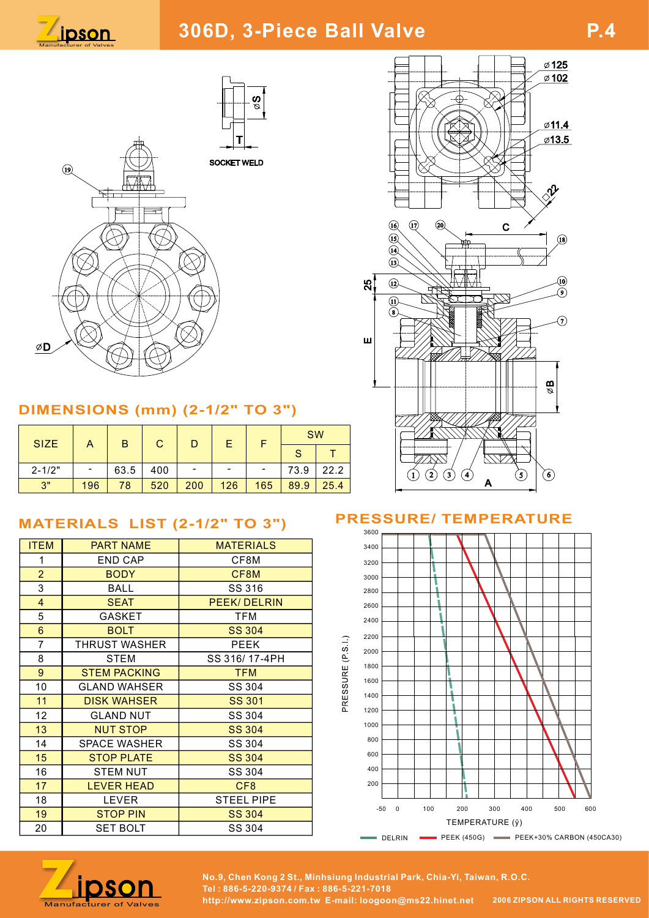





# DIMENSIONS (mm) (2-1/2" TO 3")

| <b>SIZE</b> |     | B    | ⌒   |        | E   |     |      | <b>SW</b> |  |             |  |  |  |
|-------------|-----|------|-----|--------|-----|-----|------|-----------|--|-------------|--|--|--|
|             |     |      |     |        |     |     | c    |           |  |             |  |  |  |
| $2 - 1/2"$  | -   | 63.5 | 400 | $\sim$ | -   | -   | 73.9 | 22.2      |  | 3<br>2<br>4 |  |  |  |
| 2"          | 196 | 78   | 520 | 200    | 126 | 165 | 89.9 | 25.4      |  |             |  |  |  |

# MATERIALS LIST (2-1/2" TO 3")

| <b>ITEM</b>    | <b>PART NAME</b>     | <b>MATERIALS</b>  |          | 3400  |                |     |                 |  |     |     |  |
|----------------|----------------------|-------------------|----------|-------|----------------|-----|-----------------|--|-----|-----|--|
|                | <b>END CAP</b>       | CF8M              |          | 3200  |                |     |                 |  |     |     |  |
| $\overline{2}$ | <b>BODY</b>          | CF8M              |          | 3000  |                |     |                 |  |     |     |  |
| 3              | <b>BALL</b>          | SS 316            |          | 2800  |                |     |                 |  |     |     |  |
| $\overline{4}$ | <b>SEAT</b>          | PEEK/DELRIN       |          | 2600  |                |     |                 |  |     |     |  |
| 5              | <b>GASKET</b>        | TFM               |          | 2400  |                |     |                 |  |     |     |  |
| 6              | <b>BOLT</b>          | <b>SS 304</b>     |          | 2200  |                |     |                 |  |     |     |  |
| $\overline{7}$ | <b>THRUST WASHER</b> | <b>PEEK</b>       | (P S I)  | 2000  |                |     |                 |  |     |     |  |
| 8              | <b>STEM</b>          | SS 316/17-4PH     |          |       |                |     |                 |  |     |     |  |
| 9              | <b>STEM PACKING</b>  | <b>TFM</b>        |          | 1800  |                |     |                 |  |     |     |  |
| 10             | <b>GLAND WAHSER</b>  | SS 304            | PRESSURE | 1600  |                |     |                 |  |     |     |  |
| 11             | <b>DISK WAHSER</b>   | <b>SS 301</b>     |          | 1400  |                |     |                 |  |     |     |  |
| 12             | <b>GLAND NUT</b>     | SS 304            |          | 1200  |                |     |                 |  |     |     |  |
| 13             | <b>NUT STOP</b>      | <b>SS 304</b>     |          | 1000  |                |     |                 |  |     |     |  |
| 14             | <b>SPACE WASHER</b>  | SS 304            |          | 800   |                |     |                 |  |     |     |  |
| 15             | <b>STOP PLATE</b>    | <b>SS 304</b>     |          | 600   |                |     |                 |  |     |     |  |
| 16             | <b>STEM NUT</b>      | SS 304            |          | 400   |                |     |                 |  |     |     |  |
| 17             | <b>LEVER HEAD</b>    | CF <sub>8</sub>   |          | 200   |                |     |                 |  |     |     |  |
| 18             | <b>LEVER</b>         | <b>STEEL PIPE</b> |          |       |                |     |                 |  |     |     |  |
| 19             | <b>STOP PIN</b>      | <b>SS 304</b>     |          | $-50$ | $\overline{0}$ | 100 | 200             |  | 300 | 400 |  |
| 20             | <b>SET BOLT</b>      | SS 304            |          |       |                |     | TEMPERATURE (ÿ) |  |     |     |  |



# PRESSURE/ TEMPERATURE





No.9, Chen Kong 2 St., Minhsiung Industrial Park, Chia-Yi, Taiwan, R.O.C.<br>Manufacturer of Valves http://www.zipson.com.tw E-mail: loogoon@ms22.hinet.net 2006 ZIPSON ALL RIGHTS RESERVED Tel : 886-5-220-9374 / Fax : 886-5-221-7018